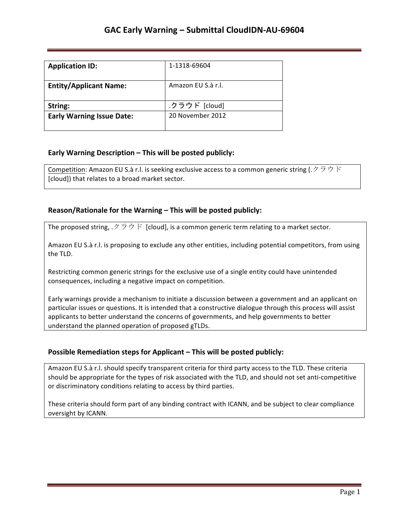| <b>Application ID:</b>           | 1-1318-69604       |
|----------------------------------|--------------------|
| <b>Entity/Applicant Name:</b>    | Amazon EU S.à r.l. |
| String:                          | .クラウド [cloud]      |
| <b>Early Warning Issue Date:</b> | 20 November 2012   |

### **Early Warning Description – This will be posted publicly:**

**Competition:** Amazon EU S.à r.l. is seeking exclusive access to a common generic string ( $\varnothing \ni \varnothing$ )  $\varnothing$ [cloud]) that relates to a broad market sector.

### **Reason/Rationale for the Warning – This will be posted publicly:**

The proposed string,  $\mathcal{P} \bar{\mathcal{P}}$  is [cloud], is a common generic term relating to a market sector.

Amazon EU S.à r.l. is proposing to exclude any other entities, including potential competitors, from using the TLD.

Restricting common generic strings for the exclusive use of a single entity could have unintended consequences, including a negative impact on competition.

Early warnings provide a mechanism to initiate a discussion between a government and an applicant on particular issues or questions. It is intended that a constructive dialogue through this process will assist applicants to better understand the concerns of governments, and help governments to better understand the planned operation of proposed gTLDs.

#### **Possible Remediation steps for Applicant – This will be posted publicly:**

Amazon EU S.à r.l. should specify transparent criteria for third party access to the TLD. These criteria should be appropriate for the types of risk associated with the TLD, and should not set anti-competitive or discriminatory conditions relating to access by third parties.

These criteria should form part of any binding contract with ICANN, and be subject to clear compliance oversight by ICANN.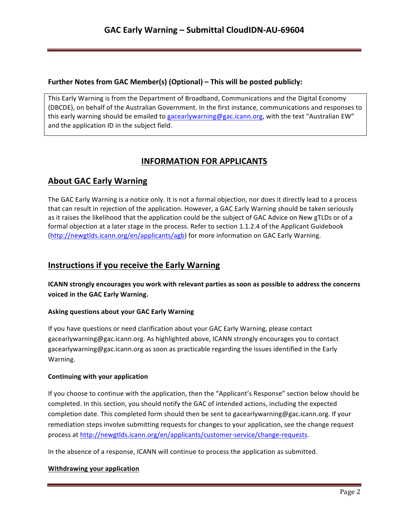## **Further Notes from GAC Member(s) (Optional) – This will be posted publicly:**

This Early Warning is from the Department of Broadband, Communications and the Digital Economy (DBCDE), on behalf of the Australian Government. In the first instance, communications and responses to this early warning should be emailed to gacearlywarning@gac.icann.org, with the text "Australian EW" and the application ID in the subject field.

# **INFORMATION FOR APPLICANTS**

# **About GAC Early Warning**

The GAC Early Warning is a notice only. It is not a formal objection, nor does it directly lead to a process that can result in rejection of the application. However, a GAC Early Warning should be taken seriously as it raises the likelihood that the application could be the subject of GAC Advice on New gTLDs or of a formal objection at a later stage in the process. Refer to section 1.1.2.4 of the Applicant Guidebook (http://newgtlds.icann.org/en/applicants/agb) for more information on GAC Early Warning.

## **Instructions if you receive the Early Warning**

**ICANN** strongly encourages you work with relevant parties as soon as possible to address the concerns voiced in the GAC Early Warning.

### **Asking questions about your GAC Early Warning**

If you have questions or need clarification about your GAC Early Warning, please contact gacearlywarning@gac.icann.org. As highlighted above, ICANN strongly encourages you to contact gacearlywarning@gac.icann.org as soon as practicable regarding the issues identified in the Early Warning. 

#### **Continuing with your application**

If you choose to continue with the application, then the "Applicant's Response" section below should be completed. In this section, you should notify the GAC of intended actions, including the expected completion date. This completed form should then be sent to gacearlywarning@gac.icann.org. If your remediation steps involve submitting requests for changes to your application, see the change request process at http://newgtlds.icann.org/en/applicants/customer-service/change-requests.

In the absence of a response, ICANN will continue to process the application as submitted.

#### **Withdrawing your application**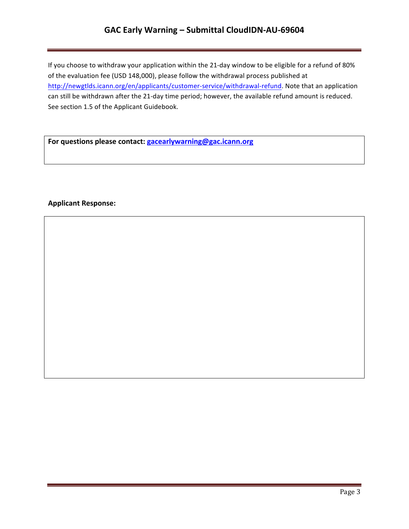## **GAC Early Warning – Submittal CloudIDN-AU-69604**

If you choose to withdraw your application within the 21-day window to be eligible for a refund of 80% of the evaluation fee (USD 148,000), please follow the withdrawal process published at http://newgtlds.icann.org/en/applicants/customer-service/withdrawal-refund. Note that an application can still be withdrawn after the 21-day time period; however, the available refund amount is reduced. See section 1.5 of the Applicant Guidebook.

For questions please contact: **gacearlywarning@gac.icann.org** 

### **Applicant Response:**